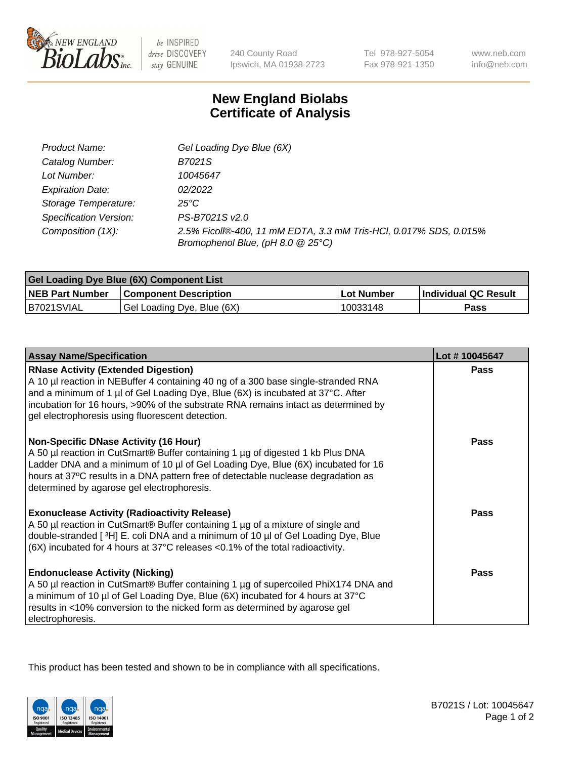

 $be$  INSPIRED drive DISCOVERY stay GENUINE

240 County Road Ipswich, MA 01938-2723 Tel 978-927-5054 Fax 978-921-1350 www.neb.com info@neb.com

## **New England Biolabs Certificate of Analysis**

| Product Name:           | Gel Loading Dye Blue (6X)                                                                              |
|-------------------------|--------------------------------------------------------------------------------------------------------|
| Catalog Number:         | B7021S                                                                                                 |
| Lot Number:             | 10045647                                                                                               |
| <b>Expiration Date:</b> | 02/2022                                                                                                |
| Storage Temperature:    | 25°C                                                                                                   |
| Specification Version:  | PS-B7021S v2.0                                                                                         |
| Composition (1X):       | 2.5% Ficoll®-400, 11 mM EDTA, 3.3 mM Tris-HCl, 0.017% SDS, 0.015%<br>Bromophenol Blue, (pH 8.0 @ 25°C) |

| Gel Loading Dye Blue (6X) Component List |                              |            |                      |  |
|------------------------------------------|------------------------------|------------|----------------------|--|
| <b>NEB Part Number</b>                   | <b>Component Description</b> | Lot Number | Individual QC Result |  |
| B7021SVIAL                               | Gel Loading Dye, Blue (6X)   | 10033148   | Pass                 |  |

| <b>Assay Name/Specification</b>                                                                                                                                                                                                                                                                                                                              | Lot #10045647 |
|--------------------------------------------------------------------------------------------------------------------------------------------------------------------------------------------------------------------------------------------------------------------------------------------------------------------------------------------------------------|---------------|
| <b>RNase Activity (Extended Digestion)</b><br>A 10 µl reaction in NEBuffer 4 containing 40 ng of a 300 base single-stranded RNA<br>and a minimum of 1 µl of Gel Loading Dye, Blue (6X) is incubated at 37°C. After<br>incubation for 16 hours, >90% of the substrate RNA remains intact as determined by<br>gel electrophoresis using fluorescent detection. | <b>Pass</b>   |
| <b>Non-Specific DNase Activity (16 Hour)</b><br>A 50 µl reaction in CutSmart® Buffer containing 1 µg of digested 1 kb Plus DNA<br>Ladder DNA and a minimum of 10 µl of Gel Loading Dye, Blue (6X) incubated for 16<br>hours at 37°C results in a DNA pattern free of detectable nuclease degradation as<br>determined by agarose gel electrophoresis.        | Pass          |
| <b>Exonuclease Activity (Radioactivity Release)</b><br>A 50 µl reaction in CutSmart® Buffer containing 1 µg of a mixture of single and<br>double-stranded [3H] E. coli DNA and a minimum of 10 µl of Gel Loading Dye, Blue<br>(6X) incubated for 4 hours at 37°C releases <0.1% of the total radioactivity.                                                  | Pass          |
| <b>Endonuclease Activity (Nicking)</b><br>A 50 µl reaction in CutSmart® Buffer containing 1 µg of supercoiled PhiX174 DNA and<br>a minimum of 10 µl of Gel Loading Dye, Blue (6X) incubated for 4 hours at 37°C<br>results in <10% conversion to the nicked form as determined by agarose gel<br>electrophoresis.                                            | Pass          |

This product has been tested and shown to be in compliance with all specifications.